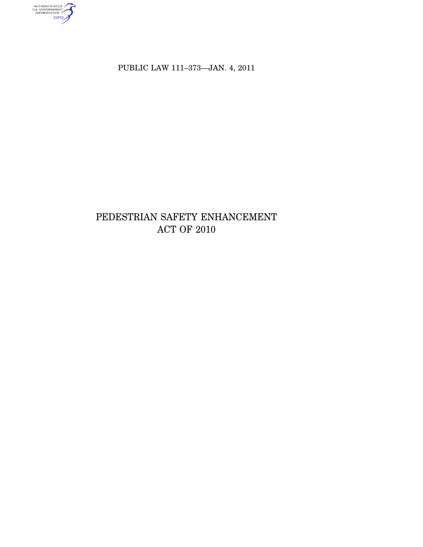AUTHENTICATED

PUBLIC LAW 111-373-JAN. 4, 2011

# PEDESTRIAN SAFETY ENHANCEMENT ACT OF  $2010\,$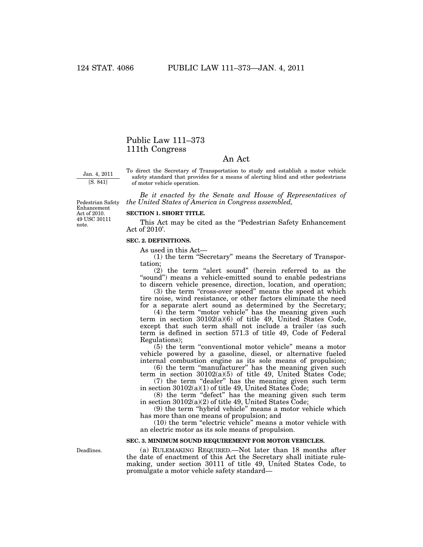## Public Law 111–373 111th Congress

### An Act

Jan. 4, 2011 [S. 841]

To direct the Secretary of Transportation to study and establish a motor vehicle safety standard that provides for a means of alerting blind and other pedestrians of motor vehicle operation.

*Be it enacted by the Senate and House of Representatives of the United States of America in Congress assembled,* 

Pedestrian Safety Enhancement Act of 2010. 49 USC 30111 note.

#### **SECTION 1. SHORT TITLE.**

This Act may be cited as the "Pedestrian Safety Enhancement Act of 2010'.

#### **SEC. 2. DEFINITIONS.**

As used in this Act—

(1) the term ''Secretary'' means the Secretary of Transportation;

 $(2)$  the term "alert sound" (herein referred to as the "sound") means a vehicle-emitted sound to enable pedestrians to discern vehicle presence, direction, location, and operation;

(3) the term "cross-over speed" means the speed at which tire noise, wind resistance, or other factors eliminate the need for a separate alert sound as determined by the Secretary;

(4) the term ''motor vehicle'' has the meaning given such term in section 30102(a)(6) of title 49, United States Code, except that such term shall not include a trailer (as such term is defined in section 571.3 of title 49, Code of Federal Regulations);

(5) the term ''conventional motor vehicle'' means a motor vehicle powered by a gasoline, diesel, or alternative fueled internal combustion engine as its sole means of propulsion;

(6) the term ''manufacturer'' has the meaning given such term in section 30102(a)(5) of title 49, United States Code;

(7) the term ''dealer'' has the meaning given such term in section 30102(a)(1) of title 49, United States Code;

(8) the term ''defect'' has the meaning given such term in section 30102(a)(2) of title 49, United States Code;

(9) the term ''hybrid vehicle'' means a motor vehicle which has more than one means of propulsion; and

(10) the term ''electric vehicle'' means a motor vehicle with an electric motor as its sole means of propulsion.

#### **SEC. 3. MINIMUM SOUND REQUIREMENT FOR MOTOR VEHICLES.**

Deadlines.

(a) RULEMAKING REQUIRED.—Not later than 18 months after the date of enactment of this Act the Secretary shall initiate rulemaking, under section 30111 of title 49, United States Code, to promulgate a motor vehicle safety standard—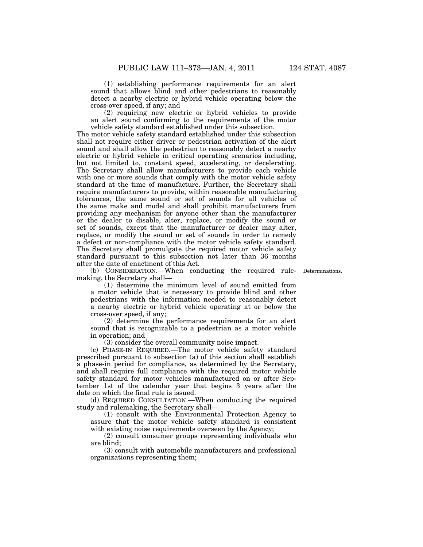(1) establishing performance requirements for an alert sound that allows blind and other pedestrians to reasonably detect a nearby electric or hybrid vehicle operating below the

cross-over speed, if any; and

(2) requiring new electric or hybrid vehicles to provide an alert sound conforming to the requirements of the motor vehicle safety standard established under this subsection.

The motor vehicle safety standard established under this subsection shall not require either driver or pedestrian activation of the alert sound and shall allow the pedestrian to reasonably detect a nearby electric or hybrid vehicle in critical operating scenarios including, but not limited to, constant speed, accelerating, or decelerating. The Secretary shall allow manufacturers to provide each vehicle with one or more sounds that comply with the motor vehicle safety standard at the time of manufacture. Further, the Secretary shall require manufacturers to provide, within reasonable manufacturing tolerances, the same sound or set of sounds for all vehicles of the same make and model and shall prohibit manufacturers from providing any mechanism for anyone other than the manufacturer or the dealer to disable, alter, replace, or modify the sound or set of sounds, except that the manufacturer or dealer may alter, replace, or modify the sound or set of sounds in order to remedy a defect or non-compliance with the motor vehicle safety standard. The Secretary shall promulgate the required motor vehicle safety standard pursuant to this subsection not later than 36 months after the date of enactment of this Act.

(b) CONSIDERATION.—When conducting the required rule-Determinations. making, the Secretary shall—

(1) determine the minimum level of sound emitted from a motor vehicle that is necessary to provide blind and other pedestrians with the information needed to reasonably detect a nearby electric or hybrid vehicle operating at or below the cross-over speed, if any;

(2) determine the performance requirements for an alert sound that is recognizable to a pedestrian as a motor vehicle in operation; and

(3) consider the overall community noise impact.

(c) PHASE-IN REQUIRED.—The motor vehicle safety standard prescribed pursuant to subsection (a) of this section shall establish a phase-in period for compliance, as determined by the Secretary, and shall require full compliance with the required motor vehicle safety standard for motor vehicles manufactured on or after September 1st of the calendar year that begins 3 years after the date on which the final rule is issued.

(d) REQUIRED CONSULTATION.—When conducting the required study and rulemaking, the Secretary shall—

(1) consult with the Environmental Protection Agency to assure that the motor vehicle safety standard is consistent with existing noise requirements overseen by the Agency;

(2) consult consumer groups representing individuals who are blind;

(3) consult with automobile manufacturers and professional organizations representing them;